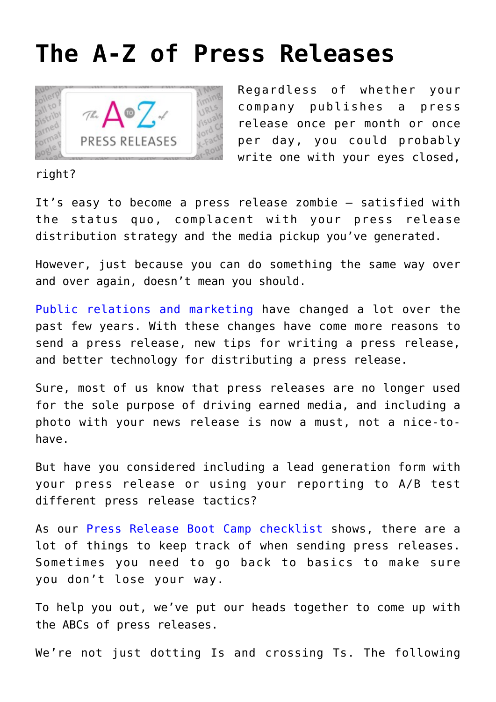## **[The A-Z of Press Releases](https://www.commpro.biz/the-a-z-of-press-releases/)**



Regardless of whether your company publishes a press release once per month or once per day, you could probably write one with your eyes closed,

## right?

It's easy to become a press release zombie — satisfied with the status quo, complacent with your press release distribution strategy and the media pickup you've generated.

However, just because you can do something the same way over and over again, doesn't mean you should.

[Public relations and marketing](https://www.commpro.biz/agile-engagement-channel/) have changed a lot over the past few years. With these changes have come more reasons to send a press release, new tips for writing a press release, and better technology for distributing a press release.

Sure, most of us know that press releases are no longer used for the sole purpose of driving earned media, and including a photo with your news release is now a must, not a nice-tohave.

But have you considered including a lead generation form with your press release or using your reporting to A/B test different press release tactics?

As our [Press Release Boot Camp checklist](https://www.prnewswire.com/knowledge-center/Press-Release-Boot-Camp-What-You-Need-to-Know.html?CO=N-CO-2.2.1&LS=Blog&LSP=20K&LSC=N-CO-2.2.1) shows, there are a lot of things to keep track of when sending press releases. Sometimes you need to go back to basics to make sure you don't lose your way.

To help you out, we've put our heads together to come up with the ABCs of press releases.

We're not just dotting Is and crossing Ts. The following